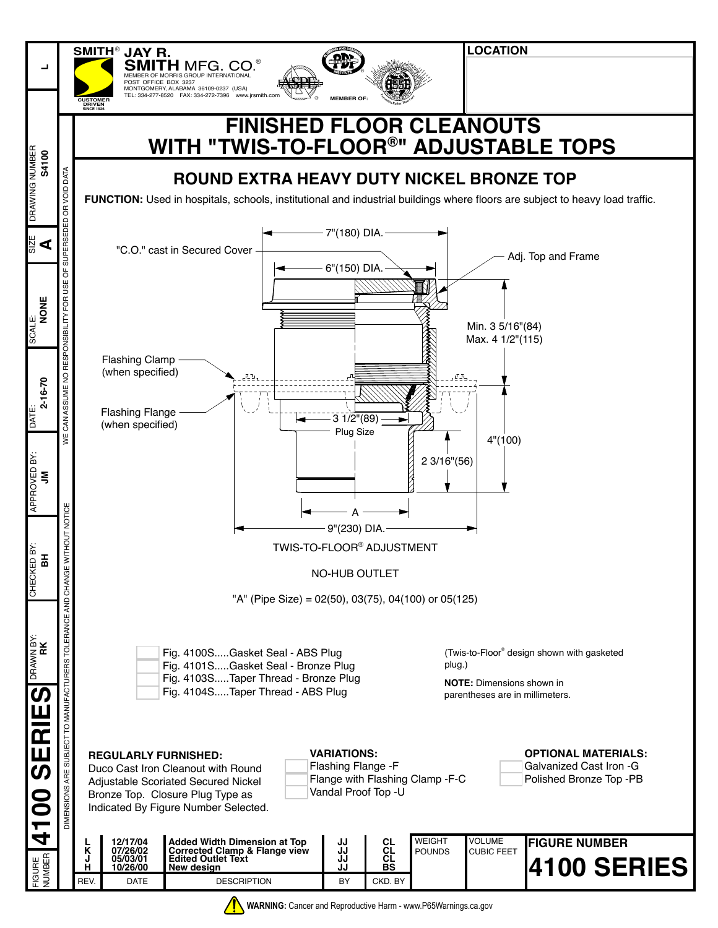